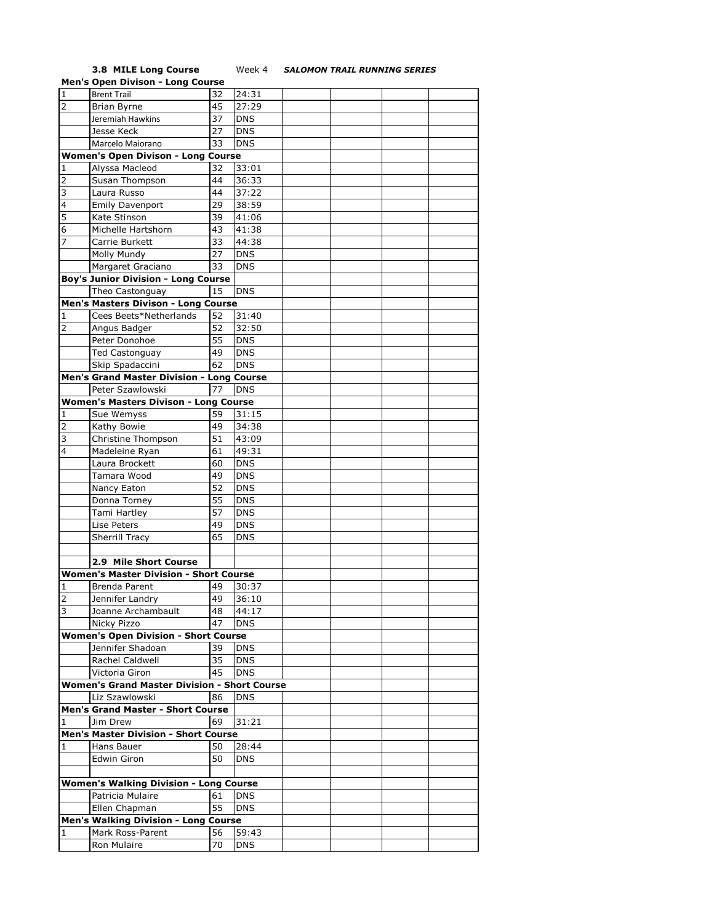## **3.8 MILE Long Course** Week 4 *SALOMON TRAIL RUNNING SERIES*

|                | <b>Men's Open Divison - Long Course</b>             |    |            |  |  |
|----------------|-----------------------------------------------------|----|------------|--|--|
| $\overline{1}$ | <b>Brent Trail</b>                                  | 32 | 24:31      |  |  |
| $\overline{2}$ | <b>Brian Byrne</b>                                  | 45 | 27:29      |  |  |
|                | Jeremiah Hawkins                                    | 37 | <b>DNS</b> |  |  |
|                | Jesse Keck                                          | 27 | <b>DNS</b> |  |  |
|                | Marcelo Maiorano                                    | 33 | <b>DNS</b> |  |  |
|                |                                                     |    |            |  |  |
|                | <b>Women's Open Divison - Long Course</b>           |    |            |  |  |
| 1              | Alyssa Macleod                                      | 32 | 33:01      |  |  |
| $\overline{2}$ | Susan Thompson                                      | 44 | 36:33      |  |  |
| 3              | Laura Russo                                         | 44 | 37:22      |  |  |
| $\overline{4}$ | Emily Davenport                                     | 29 | 38:59      |  |  |
| 5              | Kate Stinson                                        | 39 | 41:06      |  |  |
| 6              | Michelle Hartshorn                                  | 43 | 41:38      |  |  |
| 7              | Carrie Burkett                                      | 33 | 44:38      |  |  |
|                | Molly Mundy                                         | 27 | <b>DNS</b> |  |  |
|                |                                                     |    |            |  |  |
|                | Margaret Graciano                                   | 33 | <b>DNS</b> |  |  |
|                | <b>Boy's Junior Division - Long Course</b>          |    |            |  |  |
|                | Theo Castonguay                                     | 15 | <b>DNS</b> |  |  |
|                | Men's Masters Divison - Long Course                 |    |            |  |  |
| 1              | Cees Beets*Netherlands                              | 52 | 31:40      |  |  |
| $\overline{2}$ | Angus Badger                                        | 52 | 32:50      |  |  |
|                | Peter Donohoe                                       | 55 | <b>DNS</b> |  |  |
|                | Ted Castonguay                                      | 49 | <b>DNS</b> |  |  |
|                | Skip Spadaccini                                     | 62 | <b>DNS</b> |  |  |
|                | Men's Grand Master Division - Long Course           |    |            |  |  |
|                | Peter Szawlowski                                    | 77 |            |  |  |
|                |                                                     |    | <b>DNS</b> |  |  |
|                | <b>Women's Masters Divison - Long Course</b>        |    |            |  |  |
| 1              | Sue Wemyss                                          | 59 | 31:15      |  |  |
| $\overline{2}$ | Kathy Bowie                                         | 49 | 34:38      |  |  |
| 3              | Christine Thompson                                  | 51 | 43:09      |  |  |
| 4              | Madeleine Ryan                                      | 61 | 49:31      |  |  |
|                | Laura Brockett                                      | 60 | <b>DNS</b> |  |  |
|                | Tamara Wood                                         | 49 | <b>DNS</b> |  |  |
|                | Nancy Eaton                                         | 52 | <b>DNS</b> |  |  |
|                | Donna Torney                                        | 55 | <b>DNS</b> |  |  |
|                | Tami Hartley                                        | 57 | <b>DNS</b> |  |  |
|                |                                                     |    | <b>DNS</b> |  |  |
|                | Lise Peters                                         | 49 |            |  |  |
|                | Sherrill Tracy                                      | 65 | <b>DNS</b> |  |  |
|                |                                                     |    |            |  |  |
|                | 2.9 Mile Short Course                               |    |            |  |  |
|                | <b>Women's Master Division - Short Course</b>       |    |            |  |  |
| 1              | Brenda Parent                                       | 49 | 30:37      |  |  |
| $\overline{z}$ | Jennifer Landry                                     | 49 | 36:10      |  |  |
| 3              | Joanne Archambault                                  | 48 | 44:17      |  |  |
|                | Nicky Pizzo                                         | 47 | <b>DNS</b> |  |  |
|                | <b>Women's Open Division - Short Course</b>         |    |            |  |  |
|                | Jennifer Shadoan                                    | 39 | <b>DNS</b> |  |  |
|                | Rachel Caldwell                                     |    |            |  |  |
|                |                                                     | 35 | <b>DNS</b> |  |  |
|                | Victoria Giron                                      | 45 | <b>DNS</b> |  |  |
|                | <b>Women's Grand Master Division - Short Course</b> |    |            |  |  |
|                | Liz Szawlowski                                      | 86 | <b>DNS</b> |  |  |
|                | <b>Men's Grand Master - Short Course</b>            |    |            |  |  |
| 1              | Jim Drew                                            | 69 | 31:21      |  |  |
|                | Men's Master Division - Short Course                |    |            |  |  |
| 1              | Hans Bauer                                          | 50 | 28:44      |  |  |
|                | Edwin Giron                                         | 50 | <b>DNS</b> |  |  |
|                |                                                     |    |            |  |  |
|                | <b>Women's Walking Division - Long Course</b>       |    |            |  |  |
|                | Patricia Mulaire                                    | 61 | <b>DNS</b> |  |  |
|                |                                                     |    |            |  |  |
|                | Ellen Chapman                                       | 55 | <b>DNS</b> |  |  |
|                | <b>Men's Walking Division - Long Course</b>         |    |            |  |  |
| 1              | Mark Ross-Parent                                    | 56 | 59:43      |  |  |
|                | Ron Mulaire                                         | 70 | <b>DNS</b> |  |  |